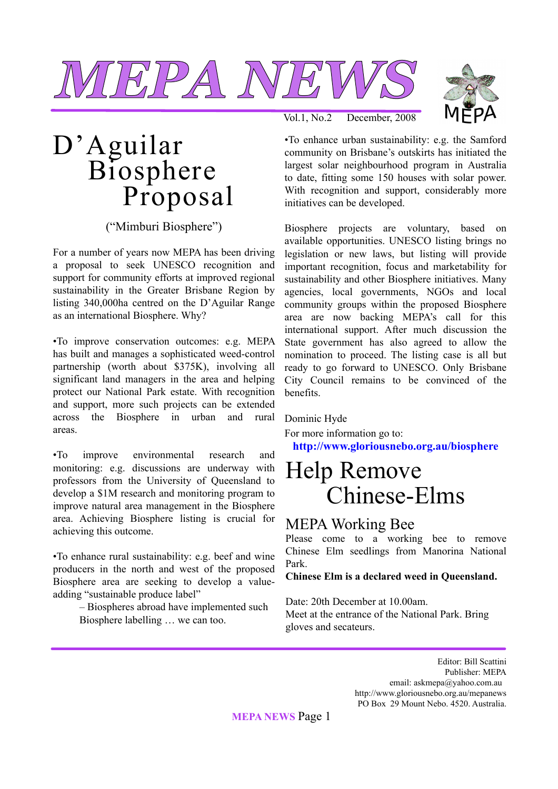



## D'Aguilar Biosphere Proposal

("Mimburi Biosphere")

For a number of years now MEPA has been driving a proposal to seek UNESCO recognition and support for community efforts at improved regional sustainability in the Greater Brisbane Region by listing 340,000ha centred on the D'Aguilar Range as an international Biosphere. Why?

•To improve conservation outcomes: e.g. MEPA has built and manages a sophisticated weed-control partnership (worth about \$375K), involving all significant land managers in the area and helping protect our National Park estate. With recognition and support, more such projects can be extended across the Biosphere in urban and rural areas.

•To improve environmental research and monitoring: e.g. discussions are underway with professors from the University of Queensland to develop a \$1M research and monitoring program to improve natural area management in the Biosphere area. Achieving Biosphere listing is crucial for achieving this outcome.

•To enhance rural sustainability: e.g. beef and wine producers in the north and west of the proposed Biosphere area are seeking to develop a valueadding "sustainable produce label"

> – Biospheres abroad have implemented such Biosphere labelling … we can too.

Vol.1, No.2 December, 2008

•To enhance urban sustainability: e.g. the Samford community on Brisbane's outskirts has initiated the largest solar neighbourhood program in Australia to date, fitting some 150 houses with solar power. With recognition and support, considerably more initiatives can be developed.

Biosphere projects are voluntary, based on available opportunities. UNESCO listing brings no legislation or new laws, but listing will provide important recognition, focus and marketability for sustainability and other Biosphere initiatives. Many agencies, local governments, NGOs and local community groups within the proposed Biosphere area are now backing MEPA's call for this international support. After much discussion the State government has also agreed to allow the nomination to proceed. The listing case is all but ready to go forward to UNESCO. Only Brisbane City Council remains to be convinced of the benefits.

#### Dominic Hyde

For more information go to: **http://www.gloriousnebo.org.au/biosphere**

### Help Remove Chinese-Elms

#### MEPA Working Bee

Please come to a working bee to remove Chinese Elm seedlings from Manorina National Park.

**Chinese Elm is a declared weed in Queensland.**

Date: 20th December at 10.00am. Meet at the entrance of the National Park. Bring gloves and secateurs.

> Editor: Bill Scattini Publisher: MEPA email: askmepa@yahoo.com.au http://www.gloriousnebo.org.au/mepanews PO Box 29 Mount Nebo. 4520. Australia.

**MEPA NEWS** Page 1